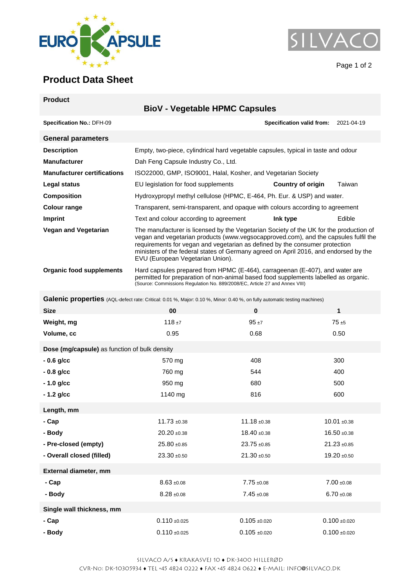



Page 1 of 2

## **Product Data Sheet**

| <b>Product</b>                                                                                                            |                                                                                                                                                                                                                                                                                                                                                                                          |                                                                                                                                                                                                                                                    |                                      |  |  |
|---------------------------------------------------------------------------------------------------------------------------|------------------------------------------------------------------------------------------------------------------------------------------------------------------------------------------------------------------------------------------------------------------------------------------------------------------------------------------------------------------------------------------|----------------------------------------------------------------------------------------------------------------------------------------------------------------------------------------------------------------------------------------------------|--------------------------------------|--|--|
|                                                                                                                           | <b>BioV - Vegetable HPMC Capsules</b>                                                                                                                                                                                                                                                                                                                                                    |                                                                                                                                                                                                                                                    |                                      |  |  |
| Specification No.: DFH-09                                                                                                 |                                                                                                                                                                                                                                                                                                                                                                                          |                                                                                                                                                                                                                                                    | Specification valid from: 2021-04-19 |  |  |
| <b>General parameters</b>                                                                                                 |                                                                                                                                                                                                                                                                                                                                                                                          |                                                                                                                                                                                                                                                    |                                      |  |  |
| <b>Description</b>                                                                                                        |                                                                                                                                                                                                                                                                                                                                                                                          | Empty, two-piece, cylindrical hard vegetable capsules, typical in taste and odour                                                                                                                                                                  |                                      |  |  |
| <b>Manufacturer</b>                                                                                                       | Dah Feng Capsule Industry Co., Ltd.                                                                                                                                                                                                                                                                                                                                                      |                                                                                                                                                                                                                                                    |                                      |  |  |
| <b>Manufacturer certifications</b>                                                                                        |                                                                                                                                                                                                                                                                                                                                                                                          | ISO22000, GMP, ISO9001, Halal, Kosher, and Vegetarian Society                                                                                                                                                                                      |                                      |  |  |
| Legal status                                                                                                              | EU legislation for food supplements                                                                                                                                                                                                                                                                                                                                                      | Country of origin                                                                                                                                                                                                                                  | Taiwan                               |  |  |
| <b>Composition</b>                                                                                                        |                                                                                                                                                                                                                                                                                                                                                                                          | Hydroxypropyl methyl cellulose (HPMC, E-464, Ph. Eur. & USP) and water.                                                                                                                                                                            |                                      |  |  |
| <b>Colour range</b>                                                                                                       | Transparent, semi-transparent, and opaque with colours according to agreement                                                                                                                                                                                                                                                                                                            |                                                                                                                                                                                                                                                    |                                      |  |  |
| <b>Imprint</b>                                                                                                            | Text and colour according to agreement                                                                                                                                                                                                                                                                                                                                                   | Ink type                                                                                                                                                                                                                                           | Edible                               |  |  |
| <b>Vegan and Vegetarian</b>                                                                                               | The manufacturer is licensed by the Vegetarian Society of the UK for the production of<br>vegan and vegetarian products (www.vegsocapproved.com), and the capsules fulfil the<br>requirements for vegan and vegetarian as defined by the consumer protection<br>ministers of the federal states of Germany agreed on April 2016, and endorsed by the<br>EVU (European Vegetarian Union). |                                                                                                                                                                                                                                                    |                                      |  |  |
| <b>Organic food supplements</b>                                                                                           |                                                                                                                                                                                                                                                                                                                                                                                          | Hard capsules prepared from HPMC (E-464), carrageenan (E-407), and water are<br>permitted for preparation of non-animal based food supplements labelled as organic.<br>(Source: Commissions Regulation No. 889/2008/EC, Article 27 and Annex VIII) |                                      |  |  |
| Galenic properties (AQL-defect rate: Critical: 0.01 %, Major: 0.10 %, Minor: 0.40 %, on fully automatic testing machines) |                                                                                                                                                                                                                                                                                                                                                                                          |                                                                                                                                                                                                                                                    |                                      |  |  |
| <b>Size</b>                                                                                                               | 00                                                                                                                                                                                                                                                                                                                                                                                       | $\pmb{0}$                                                                                                                                                                                                                                          | $\mathbf{1}$                         |  |  |
| Weight, mg                                                                                                                | $118 + 7$                                                                                                                                                                                                                                                                                                                                                                                | $95 + 7$                                                                                                                                                                                                                                           | $75 + 5$                             |  |  |
| Volume, cc                                                                                                                | 0.95                                                                                                                                                                                                                                                                                                                                                                                     | 0.68                                                                                                                                                                                                                                               | 0.50                                 |  |  |
| Dose (mg/capsule) as function of bulk density                                                                             |                                                                                                                                                                                                                                                                                                                                                                                          |                                                                                                                                                                                                                                                    |                                      |  |  |
| $-0.6$ g/cc                                                                                                               | 570 mg                                                                                                                                                                                                                                                                                                                                                                                   | 408                                                                                                                                                                                                                                                | 300                                  |  |  |
| $-0.8$ g/cc                                                                                                               | 760 mg                                                                                                                                                                                                                                                                                                                                                                                   | 544                                                                                                                                                                                                                                                | 400                                  |  |  |
| $-1.0$ g/cc                                                                                                               | 950 mg                                                                                                                                                                                                                                                                                                                                                                                   | 680                                                                                                                                                                                                                                                | 500                                  |  |  |
| - 1.2 g/cc                                                                                                                | 1140 mg                                                                                                                                                                                                                                                                                                                                                                                  | 816                                                                                                                                                                                                                                                | 600                                  |  |  |
| Length, mm                                                                                                                |                                                                                                                                                                                                                                                                                                                                                                                          |                                                                                                                                                                                                                                                    |                                      |  |  |
| - Cap                                                                                                                     | $11.73 + 0.38$                                                                                                                                                                                                                                                                                                                                                                           | $11.18 \pm 0.38$                                                                                                                                                                                                                                   | $10.01 + 0.38$                       |  |  |
| - Body                                                                                                                    | $20.20 + 0.38$                                                                                                                                                                                                                                                                                                                                                                           | $18.40 \pm 0.38$                                                                                                                                                                                                                                   | $16.50 + 0.38$                       |  |  |
| - Pre-closed (empty)                                                                                                      | $25.80 + 0.85$                                                                                                                                                                                                                                                                                                                                                                           | $23.75 + 0.85$                                                                                                                                                                                                                                     | $21.23 \pm 0.85$                     |  |  |
| - Overall closed (filled)                                                                                                 | $23.30 + 0.50$                                                                                                                                                                                                                                                                                                                                                                           | $21.30 + 0.50$                                                                                                                                                                                                                                     | $19.20 \pm 0.50$                     |  |  |
| External diameter, mm                                                                                                     |                                                                                                                                                                                                                                                                                                                                                                                          |                                                                                                                                                                                                                                                    |                                      |  |  |
| - Cap                                                                                                                     | $8.63 + 0.08$                                                                                                                                                                                                                                                                                                                                                                            | $7.75 + 0.08$                                                                                                                                                                                                                                      | $7.00 \pm 0.08$                      |  |  |
| - Body                                                                                                                    | $8.28 + 0.08$                                                                                                                                                                                                                                                                                                                                                                            | $7.45 \pm 0.08$                                                                                                                                                                                                                                    | $6.70 \pm 0.08$                      |  |  |
| Single wall thickness, mm                                                                                                 |                                                                                                                                                                                                                                                                                                                                                                                          |                                                                                                                                                                                                                                                    |                                      |  |  |
| - Cap                                                                                                                     | $0.110 + 0.025$                                                                                                                                                                                                                                                                                                                                                                          | $0.105 + 0.020$                                                                                                                                                                                                                                    | $0.100 + 0.020$                      |  |  |

**- Body** 0.110 ±0.025 0.105 ±0.020 0.100 ±0.020